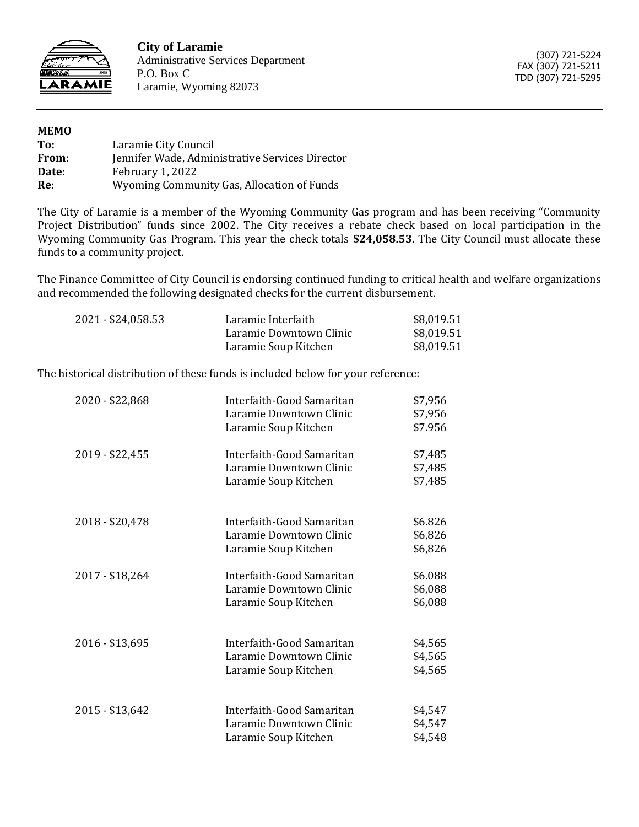

**City of Laramie** Administrative Services Department P.O. Box C Laramie, Wyoming 82073

(307) 721-5224 FAX (307) 721-5211 TDD (307) 721-5295

| <b>MEMO</b> |                                                 |
|-------------|-------------------------------------------------|
| To:         | Laramie City Council                            |
| From:       | Jennifer Wade, Administrative Services Director |
| Date:       | February 1, 2022                                |
| Re:         | Wyoming Community Gas, Allocation of Funds      |

The City of Laramie is a member of the Wyoming Community Gas program and has been receiving "Community Project Distribution" funds since 2002. The City receives a rebate check based on local participation in the Wyoming Community Gas Program. This year the check totals **\$24,058.53.** The City Council must allocate these funds to a community project.

The Finance Committee of City Council is endorsing continued funding to critical health and welfare organizations and recommended the following designated checks for the current disbursement.

| 2021 - \$24,058.53 | Laramie Interfaith      | \$8,019.51 |
|--------------------|-------------------------|------------|
|                    | Laramie Downtown Clinic | \$8,019.51 |
|                    | Laramie Soup Kitchen    | \$8,019.51 |

The historical distribution of these funds is included below for your reference:

| 2020 - \$22,868 | Interfaith-Good Samaritan<br>Laramie Downtown Clinic<br>Laramie Soup Kitchen | \$7,956<br>\$7,956<br>\$7.956 |
|-----------------|------------------------------------------------------------------------------|-------------------------------|
| 2019 - \$22,455 | Interfaith-Good Samaritan<br>Laramie Downtown Clinic<br>Laramie Soup Kitchen | \$7,485<br>\$7,485<br>\$7,485 |
| 2018 - \$20,478 | Interfaith-Good Samaritan<br>Laramie Downtown Clinic<br>Laramie Soup Kitchen | \$6.826<br>\$6,826<br>\$6,826 |
| 2017 - \$18,264 | Interfaith-Good Samaritan<br>Laramie Downtown Clinic<br>Laramie Soup Kitchen | \$6.088<br>\$6,088<br>\$6,088 |
| 2016 - \$13,695 | Interfaith-Good Samaritan<br>Laramie Downtown Clinic<br>Laramie Soup Kitchen | \$4,565<br>\$4,565<br>\$4,565 |
| 2015 - \$13,642 | Interfaith-Good Samaritan<br>Laramie Downtown Clinic<br>Laramie Soup Kitchen | \$4,547<br>\$4,547<br>\$4,548 |